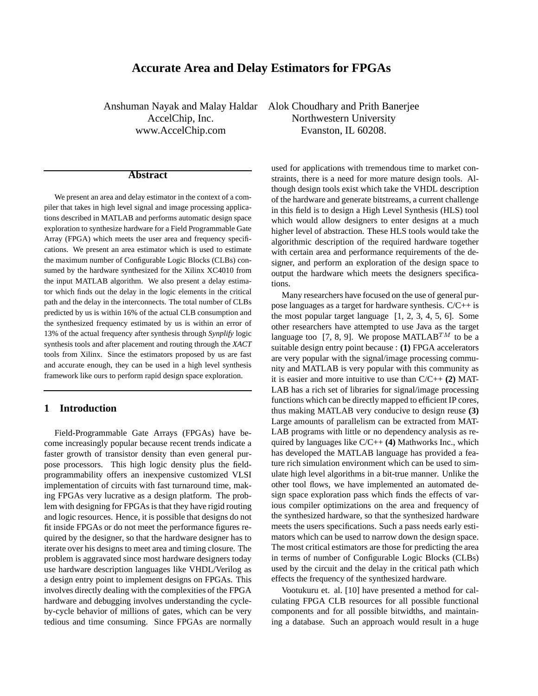# **Accurate Area and Delay Estimators for FPGAs**

www.AccelChip.com Evanston, IL 60208.

## **Abstract**

We present an area and delay estimator in the context of a compiler that takes in high level signal and image processing applications described in MATLAB and performs automatic design space exploration to synthesize hardware for a Field Programmable Gate Array (FPGA) which meets the user area and frequency specifications. We present an area estimator which is used to estimate the maximum number of Configurable Logic Blocks (CLBs) consumed by the hardware synthesized for the Xilinx XC4010 from the input MATLAB algorithm. We also present a delay estimator which finds out the delay in the logic elements in the critical path and the delay in the interconnects. The total number of CLBs predicted by us is within 16% of the actual CLB consumption and the synthesized frequency estimated by us is within an error of 13% of the actual frequency after synthesis through *Synplify* logic synthesis tools and after placement and routing through the *XACT* tools from Xilinx. Since the estimators proposed by us are fast and accurate enough, they can be used in a high level synthesis framework like ours to perform rapid design space exploration.

## **1 Introduction**

Field-Programmable Gate Arrays (FPGAs) have become increasingly popular because recent trends indicate a faster growth of transistor density than even general purpose processors. This high logic density plus the fieldprogrammability offers an inexpensive customized VLSI implementation of circuits with fast turnaround time, making FPGAs very lucrative as a design platform. The problem with designing for FPGAs is that they have rigid routing and logic resources. Hence, it is possible that designs do not fit inside FPGAs or do not meet the performance figures required by the designer, so that the hardware designer has to iterate over his designs to meet area and timing closure. The problem is aggravated since most hardware designers today use hardware description languages like VHDL/Verilog as a design entry point to implement designs on FPGAs. This involves directly dealing with the complexities of the FPGA hardware and debugging involves understanding the cycleby-cycle behavior of millions of gates, which can be very tedious and time consuming. Since FPGAs are normally

Anshuman Nayak and Malay Haldar Alok Choudhary and Prith Banerjee AccelChip, Inc. Northwestern University

> used for applications with tremendous time to market constraints, there is a need for more mature design tools. Although design tools exist which take the VHDL description of the hardware and generate bitstreams, a current challenge in this field is to design a High Level Synthesis (HLS) tool which would allow designers to enter designs at a much higher level of abstraction. These HLS tools would take the algorithmic description of the required hardware together with certain area and performance requirements of the designer, and perform an exploration of the design space to output the hardware which meets the designers specifications.

Many researchers have focused on the use of general purpose languages as a target for hardware synthesis. C/C++ is the most popular target language [1, 2, 3, 4, 5, 6]. Some other researchers have attempted to use Java as the target language too [7, 8, 9]. We propose MATLAB $^{TM}$  to be a suitable design entry point because : **(1)** FPGA accelerators are very popular with the signal/image processing community and MATLAB is very popular with this community as it is easier and more intuitive to use than C/C++ **(2)** MAT-LAB has a rich set of libraries for signal/image processing functions which can be directly mapped to efficient IP cores, thus making MATLAB very conducive to design reuse **(3)** Large amounts of parallelism can be extracted from MAT-LAB programs with little or no dependency analysis as required by languages like C/C++ **(4)** Mathworks Inc., which has developed the MATLAB language has provided a feature rich simulation environment which can be used to simulate high level algorithms in a bit-true manner. Unlike the other tool flows, we have implemented an automated design space exploration pass which finds the effects of various compiler optimizations on the area and frequency of the synthesized hardware, so that the synthesized hardware meets the users specifications. Such a pass needs early estimators which can be used to narrow down the design space. The most critical estimators are those for predicting the area in terms of number of Configurable Logic Blocks (CLBs) used by the circuit and the delay in the critical path which effects the frequency of the synthesized hardware.

Vootukuru et. al. [10] have presented a method for calculating FPGA CLB resources for all possible functional components and for all possible bitwidths, and maintaining a database. Such an approach would result in a huge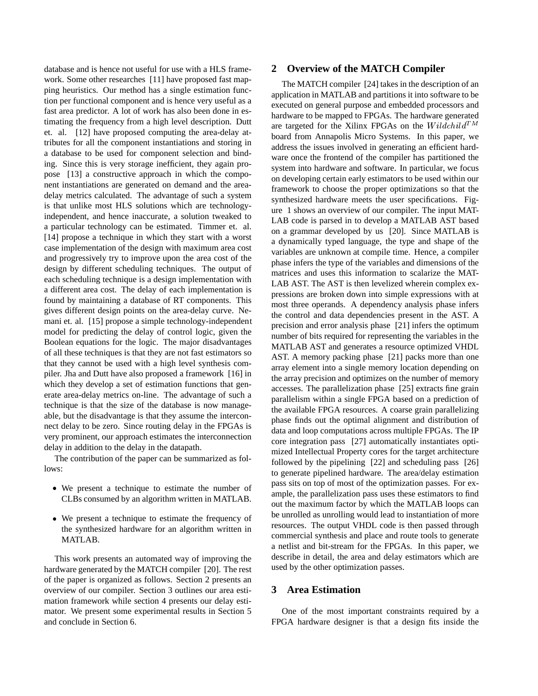database and is hence not useful for use with a HLS framework. Some other researches [11] have proposed fast mapping heuristics. Our method has a single estimation function per functional component and is hence very useful as a fast area predictor. A lot of work has also been done in estimating the frequency from a high level description. Dutt et. al. [12] have proposed computing the area-delay attributes for all the component instantiations and storing in a database to be used for component selection and binding. Since this is very storage inefficient, they again propose [13] a constructive approach in which the component instantiations are generated on demand and the areadelay metrics calculated. The advantage of such a system is that unlike most HLS solutions which are technologyindependent, and hence inaccurate, a solution tweaked to a particular technology can be estimated. Timmer et. al. [14] propose a technique in which they start with a worst case implementation of the design with maximum area cost and progressively try to improve upon the area cost of the design by different scheduling techniques. The output of each scheduling technique is a design implementation with a different area cost. The delay of each implementation is found by maintaining a database of RT components. This gives different design points on the area-delay curve. Nemani et. al. [15] propose a simple technology-independent model for predicting the delay of control logic, given the Boolean equations for the logic. The major disadvantages of all these techniques is that they are not fast estimators so that they cannot be used with a high level synthesis compiler. Jha and Dutt have also proposed a framework [16] in which they develop a set of estimation functions that generate area-delay metrics on-line. The advantage of such a technique is that the size of the database is now manageable, but the disadvantage is that they assume the interconnect delay to be zero. Since routing delay in the FPGAs is very prominent, our approach estimates the interconnection delay in addition to the delay in the datapath.

The contribution of the paper can be summarized as follows:

- We present a technique to estimate the number of CLBs consumed by an algorithm written in MATLAB.
- We present a technique to estimate the frequency of the synthesized hardware for an algorithm written in MATLAB.

This work presents an automated way of improving the hardware generated by the MATCH compiler [20]. The rest of the paper is organized as follows. Section 2 presents an overview of our compiler. Section 3 outlines our area estimation framework while section 4 presents our delay estimator. We present some experimental results in Section 5 and conclude in Section 6.

#### **2 Overview of the MATCH Compiler**

The MATCH compiler [24] takes in the description of an application in MATLAB and partitions it into software to be executed on general purpose and embedded processors and hardware to be mapped to FPGAs. The hardware generated are targeted for the Xilinx FPGAs on the  $Wildchild^{TM}$ board from Annapolis Micro Systems. In this paper, we address the issues involved in generating an efficient hardware once the frontend of the compiler has partitioned the system into hardware and software. In particular, we focus on developing certain early estimators to be used within our framework to choose the proper optimizations so that the synthesized hardware meets the user specifications. Figure 1 shows an overview of our compiler. The input MAT-LAB code is parsed in to develop a MATLAB AST based on a grammar developed by us [20]. Since MATLAB is a dynamically typed language, the type and shape of the variables are unknown at compile time. Hence, a compiler phase infers the type of the variables and dimensions of the matrices and uses this information to scalarize the MAT-LAB AST. The AST is then levelized wherein complex expressions are broken down into simple expressions with at most three operands. A dependency analysis phase infers the control and data dependencies present in the AST. A precision and error analysis phase [21] infers the optimum number of bits required for representing the variables in the MATLAB AST and generates a resource optimized VHDL AST. A memory packing phase [21] packs more than one array element into a single memory location depending on the array precision and optimizes on the number of memory accesses. The parallelization phase [25] extracts fine grain parallelism within a single FPGA based on a prediction of the available FPGA resources. A coarse grain parallelizing phase finds out the optimal alignment and distribution of data and loop computations across multiple FPGAs. The IP core integration pass [27] automatically instantiates optimized Intellectual Property cores for the target architecture followed by the pipelining [22] and scheduling pass [26] to generate pipelined hardware. The area/delay estimation pass sits on top of most of the optimization passes. For example, the parallelization pass uses these estimators to find out the maximum factor by which the MATLAB loops can be unrolled as unrolling would lead to instantiation of more resources. The output VHDL code is then passed through commercial synthesis and place and route tools to generate a netlist and bit-stream for the FPGAs. In this paper, we describe in detail, the area and delay estimators which are used by the other optimization passes.

#### **3 Area Estimation**

One of the most important constraints required by a FPGA hardware designer is that a design fits inside the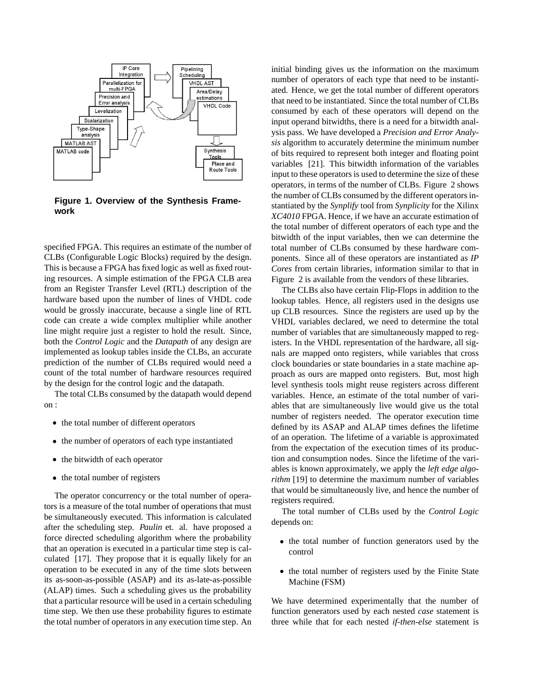

**Figure 1. Overview of the Synthesis Framework**

specified FPGA. This requires an estimate of the number of CLBs (Configurable Logic Blocks) required by the design. This is because a FPGA has fixed logic as well as fixed routing resources. A simple estimation of the FPGA CLB area from an Register Transfer Level (RTL) description of the hardware based upon the number of lines of VHDL code would be grossly inaccurate, because a single line of RTL code can create a wide complex multiplier while another line might require just a register to hold the result. Since, both the *Control Logic* and the *Datapath* of any design are implemented as lookup tables inside the CLBs, an accurate prediction of the number of CLBs required would need a count of the total number of hardware resources required by the design for the control logic and the datapath.

The total CLBs consumed by the datapath would depend on :

- the total number of different operators
- the number of operators of each type instantiated
- the bitwidth of each operator
- the total number of registers

The operator concurrency or the total number of operators is a measure of the total number of operations that must be simultaneously executed. This information is calculated after the scheduling step. *Paulin* et. al. have proposed a force directed scheduling algorithm where the probability that an operation is executed in a particular time step is calculated [17]. They propose that it is equally likely for an operation to be executed in any of the time slots between its as-soon-as-possible (ASAP) and its as-late-as-possible (ALAP) times. Such a scheduling gives us the probability that a particular resource will be used in a certain scheduling time step. We then use these probability figures to estimate the total number of operators in any execution time step. An initial binding gives us the information on the maximum number of operators of each type that need to be instantiated. Hence, we get the total number of different operators that need to be instantiated. Since the total number of CLBs consumed by each of these operators will depend on the input operand bitwidths, there is a need for a bitwidth analysis pass. We have developed a *Precision and Error Analysis* algorithm to accurately determine the minimum number of bits required to represent both integer and floating point variables [21]. This bitwidth information of the variables input to these operators is used to determine the size of these operators, in terms of the number of CLBs. Figure 2 shows the number of CLBs consumed by the different operators instantiated by the *Synplify* tool from *Synplicity* for the Xilinx *XC4010* FPGA. Hence, if we have an accurate estimation of the total number of different operators of each type and the bitwidth of the input variables, then we can determine the total number of CLBs consumed by these hardware components. Since all of these operators are instantiated as *IP Cores* from certain libraries, information similar to that in Figure 2 is available from the vendors of these libraries.

The CLBs also have certain Flip-Flops in addition to the lookup tables. Hence, all registers used in the designs use up CLB resources. Since the registers are used up by the VHDL variables declared, we need to determine the total number of variables that are simultaneously mapped to registers. In the VHDL representation of the hardware, all signals are mapped onto registers, while variables that cross clock boundaries or state boundaries in a state machine approach as ours are mapped onto registers. But, most high level synthesis tools might reuse registers across different variables. Hence, an estimate of the total number of variables that are simultaneously live would give us the total number of registers needed. The operator execution time defined by its ASAP and ALAP times defines the lifetime of an operation. The lifetime of a variable is approximated from the expectation of the execution times of its production and consumption nodes. Since the lifetime of the variables is known approximately, we apply the *left edge algorithm* [19] to determine the maximum number of variables that would be simultaneously live, and hence the number of registers required.

The total number of CLBs used by the *Control Logic* depends on:

- the total number of function generators used by the control
- the total number of registers used by the Finite State Machine (FSM)

We have determined experimentally that the number of function generators used by each nested *case* statement is three while that for each nested *if-then-else* statement is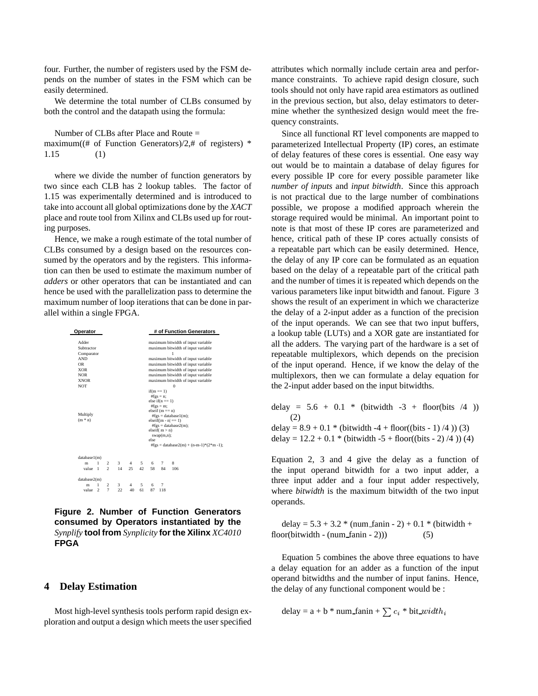four. Further, the number of registers used by the FSM depends on the number of states in the FSM which can be easily determined.

We determine the total number of CLBs consumed by both the control and the datapath using the formula:

Number of CLBs after Place and Route = maximum( $(\#$  of Function Generators)/2,# of registers)  $*$  $1.15$  (1)

where we divide the number of function generators by two since each CLB has 2 lookup tables. The factor of 1.15 was experimentally determined and is introduced to take into account all global optimizations done by the *XACT* place and route tool from Xilinx and CLBs used up for routing purposes.

Hence, we make a rough estimate of the total number of CLBs consumed by a design based on the resources consumed by the operators and by the registers. This information can then be used to estimate the maximum number of *adders* or other operators that can be instantiated and can hence be used with the parallelization pass to determine the maximum number of loop iterations that can be done in parallel within a single FPGA.

| Operator                                                                                                                                       |                     |                          |         |                      |         | # of Function Generators                                                                                                                                                                                                                                                                                                                                                                                                              |          |     |  |  |
|------------------------------------------------------------------------------------------------------------------------------------------------|---------------------|--------------------------|---------|----------------------|---------|---------------------------------------------------------------------------------------------------------------------------------------------------------------------------------------------------------------------------------------------------------------------------------------------------------------------------------------------------------------------------------------------------------------------------------------|----------|-----|--|--|
| Adder<br>Subtractor<br>Comparator<br><b>AND</b><br><b>OR</b><br><b>XOR</b><br><b>NOR</b><br><b>XNOR</b><br><b>NOT</b><br>Multiply<br>$(m * n)$ |                     |                          |         |                      |         | maximum bitwidth of input variable<br>maximum bitwidth of input variable<br>maximum bitwidth of input variable<br>maximum bitwidth of input variable<br>maximum bitwidth of input variable<br>maximum bitwidth of input variable<br>maximum bitwidth of input variable<br>$\mathbf{0}$<br>$if(m == 1)$<br>$#fgs = n;$<br>else if $(n == 1)$<br>$#fgs = m;$<br>elseif $(m == n)$<br>$#fgs = database1(m);$<br>elseif( $ m - n  == 1$ ) |          |     |  |  |
|                                                                                                                                                |                     |                          |         |                      |         | $#fgs = database2(m);$<br>elseif $(m > n)$<br>$swap(m,n)$ ;<br>else<br>#fgs = database2(m) + (n-m-1)*(2*m-1);                                                                                                                                                                                                                                                                                                                         |          |     |  |  |
| database1(m)                                                                                                                                   |                     |                          |         |                      |         |                                                                                                                                                                                                                                                                                                                                                                                                                                       |          |     |  |  |
| m                                                                                                                                              | 1                   | 2                        | 3       | $\overline{4}$       | 5       | 6                                                                                                                                                                                                                                                                                                                                                                                                                                     | 7        | 8   |  |  |
| value                                                                                                                                          | $\overline{1}$      | $\overline{\mathcal{L}}$ | 14      | 25                   | 42      | 58                                                                                                                                                                                                                                                                                                                                                                                                                                    | 84       | 106 |  |  |
| database2(m)                                                                                                                                   |                     |                          |         |                      |         |                                                                                                                                                                                                                                                                                                                                                                                                                                       |          |     |  |  |
| m<br>value                                                                                                                                     | 1<br>$\mathfrak{D}$ | 2<br>$\overline{7}$      | 3<br>22 | $\overline{4}$<br>40 | 5<br>61 | 6<br>87                                                                                                                                                                                                                                                                                                                                                                                                                               | 7<br>118 |     |  |  |

**Figure 2. Number of Function Generators consumed by Operators instantiated by the** *Synplify* **tool from** *Synplicity* **forthe Xilinx** *XC4010* **FPGA**

### **4 Delay Estimation**

Most high-level synthesis tools perform rapid design exploration and output a design which meets the user specified attributes which normally include certain area and performance constraints. To achieve rapid design closure, such tools should not only have rapid area estimators as outlined in the previous section, but also, delay estimators to determine whether the synthesized design would meet the frequency constraints.

Since all functional RT level components are mapped to parameterized Intellectual Property (IP) cores, an estimate of delay features of these cores is essential. One easy way out would be to maintain a database of delay figures for every possible IP core for every possible parameter like *number of inputs* and *input bitwidth*. Since this approach is not practical due to the large number of combinations possible, we propose a modified approach wherein the storage required would be minimal. An important point to note is that most of these IP cores are parameterized and hence, critical path of these IP cores actually consists of a repeatable part which can be easily determined. Hence, the delay of any IP core can be formulated as an equation based on the delay of a repeatable part of the critical path and the number of times it is repeated which depends on the various parameters like input bitwidth and fanout. Figure 3 shows the result of an experiment in which we characterize the delay of a 2-input adder as a function of the precision of the input operands. We can see that two input buffers, a lookup table (LUTs) and a XOR gate are instantiated for all the adders. The varying part of the hardware is a set of repeatable multiplexors, which depends on the precision of the input operand. Hence, if we know the delay of the multiplexors, then we can formulate a delay equation for the 2-input adder based on the input bitwidths.

delay =  $5.6 + 0.1 *$  (bitwidth  $-3 +$  floor(bits /4)) (2) delay =  $8.9 + 0.1 *$  (bitwidth -4 + floor((bits - 1) /4)) (3) delay =  $12.2 + 0.1$  \* (bitwidth  $-5 +$  floor((bits  $- 2$ ) /4)) (4)

Equation 2, 3 and 4 give the delay as a function of the input operand bitwidth for a two input adder, a three input adder and a four input adder respectively, where *bitwidth* is the maximum bitwidth of the two input operands.

delay =  $5.3 + 3.2 *$  (num fanin - 2) + 0.1 \* (bitwidth + floor(bitwidth -  $(num\_fanin - 2))$ ) (5)

Equation 5 combines the above three equations to have a delay equation for an adder as a function of the input operand bitwidths and the number of input fanins. Hence, the delay of any functional component would be :

delay = a + b  $*$  num fanin +  $\sum c_i * \text{bit\_width}_i$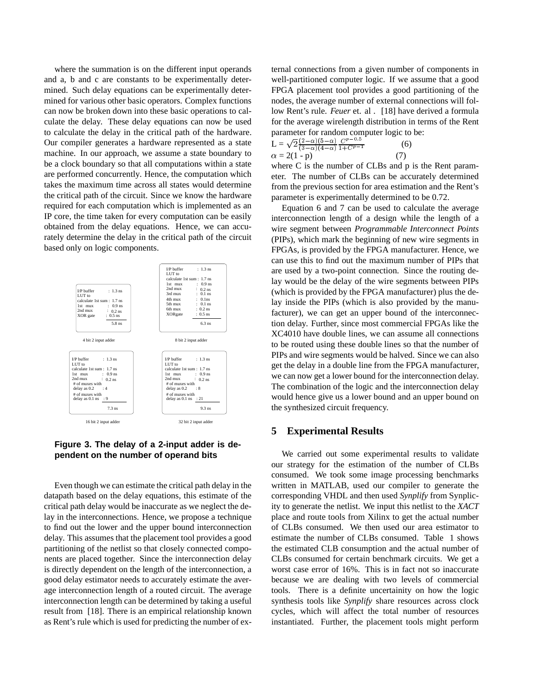where the summation is on the different input operands and a, b and c are constants to be experimentally determined. Such delay equations can be experimentally determined for various other basic operators. Complex functions can now be broken down into these basic operations to calculate the delay. These delay equations can now be used to calculate the delay in the critical path of the hardware. Our compiler generates a hardware represented as a state machine. In our approach, we assume a state boundary to be a clock boundary so that all computations within a state are performed concurrently. Hence, the computation which takes the maximum time across all states would determine the critical path of the circuit. Since we know the hardware required for each computation which is implemented as an IP core, the time taken for every computation can be easily obtained from the delay equations. Hence, we can accurately determine the delay in the critical path of the circuit based only on logic components.



**Figure 3. The delay of a 2-input adder is dependent on the number of operand bits**

Even though we can estimate the critical path delay in the datapath based on the delay equations, this estimate of the critical path delay would be inaccurate as we neglect the delay in the interconnections. Hence, we propose a technique to find out the lower and the upper bound interconnection delay. This assumes that the placement tool provides a good partitioning of the netlist so that closely connected components are placed together. Since the interconnection delay is directly dependent on the length of the interconnection, a good delay estimator needs to accurately estimate the average interconnection length of a routed circuit. The average interconnection length can be determined by taking a useful result from [18]. There is an empirical relationship known as Rent's rule which is used for predicting the number of external connections from a given number of components in well-partitioned computer logic. If we assume that a good FPGA placement tool provides a good partitioning of the nodes, the average number of external connections will follow Rent's rule. *Feuer* et. al . [18] have derived a formula for the average wirelength distribution in terms of the Rent parameter for random computer logic to be:

$$
L = \sqrt{2} \frac{(2-\alpha)(5-\alpha)}{(3-\alpha)(4-\alpha)} \frac{C^{p-0.5}}{1+C^{p-1}}
$$
(6)  
\n
$$
\alpha = 2(1-p)
$$
(7)

where C is the number of CLBs and p is the Rent parameter. The number of CLBs can be accurately determined from the previous section for area estimation and the Rent's parameter is experimentally determined to be 0.72.

Equation 6 and 7 can be used to calculate the average interconnection length of a design while the length of a wire segment between *Programmable Interconnect Points* (PIPs), which mark the beginning of new wire segments in FPGAs, is provided by the FPGA manufacturer. Hence, we can use this to find out the maximum number of PIPs that are used by a two-point connection. Since the routing delay would be the delay of the wire segments between PIPs (which is provided by the FPGA manufacturer) plus the delay inside the PIPs (which is also provided by the manufacturer), we can get an upper bound of the interconnection delay. Further, since most commercial FPGAs like the XC4010 have double lines, we can assume all connections to be routed using these double lines so that the number of PIPs and wire segments would be halved. Since we can also get the delay in a double line from the FPGA manufacturer, we can now get a lower bound for the interconnection delay. The combination of the logic and the interconnection delay would hence give us a lower bound and an upper bound on the synthesized circuit frequency.

#### **5 Experimental Results**

We carried out some experimental results to validate our strategy for the estimation of the number of CLBs consumed. We took some image processing benchmarks written in MATLAB, used our compiler to generate the corresponding VHDL and then used *Synplify* from Synplicity to generate the netlist. We input this netlist to the *XACT* place and route tools from Xilinx to get the actual number of CLBs consumed. We then used our area estimator to estimate the number of CLBs consumed. Table 1 shows the estimated CLB consumption and the actual number of CLBs consumed for certain benchmark circuits. We get a worst case error of 16%. This is in fact not so inaccurate because we are dealing with two levels of commercial tools. There is a definite uncertainity on how the logic synthesis tools like *Synplify* share resources across clock cycles, which will affect the total number of resources instantiated. Further, the placement tools might perform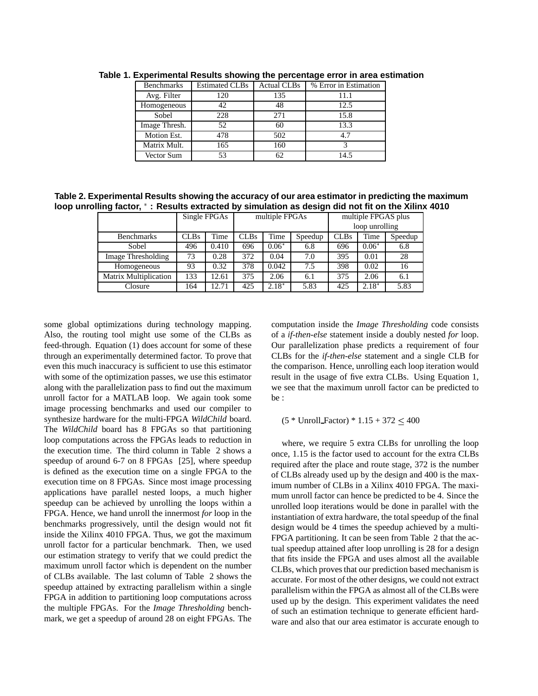| <b>Benchmarks</b> | <b>Estimated CLBs</b> | <b>Actual CLBs</b> | % Error in Estimation |
|-------------------|-----------------------|--------------------|-----------------------|
| Avg. Filter       | 120                   | 135                | 11.1                  |
| Homogeneous       | 42                    | 48                 | 12.5                  |
| Sobel             | 228                   | 271                | 15.8                  |
| Image Thresh.     | 52                    | 60                 | 13.3                  |
| Motion Est.       | 478                   | 502                | 4.7                   |
| Matrix Mult.      | 165                   | 160                |                       |
| Vector Sum        | 53                    |                    | 14.5                  |

**Table 1. Experimental Results showing the percentage error in area estimation**

**Table 2. Experimental Results showing the accuracy of our area estimator in predicting the maximum loop unrolling factor,** <sup>4</sup> **: Results extracted by simulation as design did not fit on the Xilinx 4010**

|                              |             | Single FPGAs |             | multiple FPGAs |         | multiple FPGAS plus |         |         |
|------------------------------|-------------|--------------|-------------|----------------|---------|---------------------|---------|---------|
|                              |             |              |             |                |         | loop unrolling      |         |         |
| <b>Benchmarks</b>            | <b>CLBs</b> | Time         | <b>CLBs</b> | Time           | Speedup | <b>CLBs</b>         | Time    | Speedup |
| Sobel                        | 496         | 0.410        | 696         | $0.06*$        | 6.8     | 696                 | $0.06*$ | 6.8     |
| Image Thresholding           | 73          | 0.28         | 372         | 0.04           | 7.0     | 395                 | 0.01    | 28      |
| Homogeneous                  | 93          | 0.32         | 378         | 0.042          | 7.5     | 398                 | 0.02    | 16      |
| <b>Matrix Multiplication</b> | 133         | 12.61        | 375         | 2.06           | 6.1     | 375                 | 2.06    | 6.1     |
| Closure                      | 164         | 12.71        | 425         | $2.18*$        | 5.83    | 425                 | $2.18*$ | 5.83    |

some global optimizations during technology mapping. Also, the routing tool might use some of the CLBs as feed-through. Equation (1) does account for some of these through an experimentally determined factor. To prove that even this much inaccuracy is sufficient to use this estimator with some of the optimization passes, we use this estimator along with the parallelization pass to find out the maximum unroll factor for a MATLAB loop. We again took some image processing benchmarks and used our compiler to synthesize hardware for the multi-FPGA *WildChild* board. The *WildChild* board has 8 FPGAs so that partitioning loop computations across the FPGAs leads to reduction in the execution time. The third column in Table 2 shows a speedup of around 6-7 on 8 FPGAs [25], where speedup is defined as the execution time on a single FPGA to the execution time on 8 FPGAs. Since most image processing applications have parallel nested loops, a much higher speedup can be achieved by unrolling the loops within a FPGA. Hence, we hand unroll the innermost *for* loop in the benchmarks progressively, until the design would not fit inside the Xilinx 4010 FPGA. Thus, we got the maximum unroll factor for a particular benchmark. Then, we used our estimation strategy to verify that we could predict the maximum unroll factor which is dependent on the number of CLBs available. The last column of Table 2 shows the speedup attained by extracting parallelism within a single FPGA in addition to partitioning loop computations across the multiple FPGAs. For the *Image Thresholding* benchmark, we get a speedup of around 28 on eight FPGAs. The

computation inside the *Image Thresholding* code consists of a *if-then-else* statement inside a doubly nested *for* loop. Our parallelization phase predicts a requirement of four CLBs for the *if-then-else* statement and a single CLB for the comparison. Hence, unrolling each loop iteration would result in the usage of five extra CLBs. Using Equation 1, we see that the maximum unroll factor can be predicted to be :

 $(5 * Unroll_Factor) * 1.15 + 372 \le 400$ 

where, we require 5 extra CLBs for unrolling the loop once, 1.15 is the factor used to account for the extra CLBs required after the place and route stage, 372 is the number of CLBs already used up by the design and 400 is the maximum number of CLBs in a Xilinx 4010 FPGA. The maximum unroll factor can hence be predicted to be 4. Since the unrolled loop iterations would be done in parallel with the instantiation of extra hardware, the total speedup of the final design would be 4 times the speedup achieved by a multi-FPGA partitioning. It can be seen from Table 2 that the actual speedup attained after loop unrolling is 28 for a design that fits inside the FPGA and uses almost all the available CLBs, which proves that our prediction based mechanism is accurate. For most of the other designs, we could not extract parallelism within the FPGA as almost all of the CLBs were used up by the design. This experiment validates the need of such an estimation technique to generate efficient hardware and also that our area estimator is accurate enough to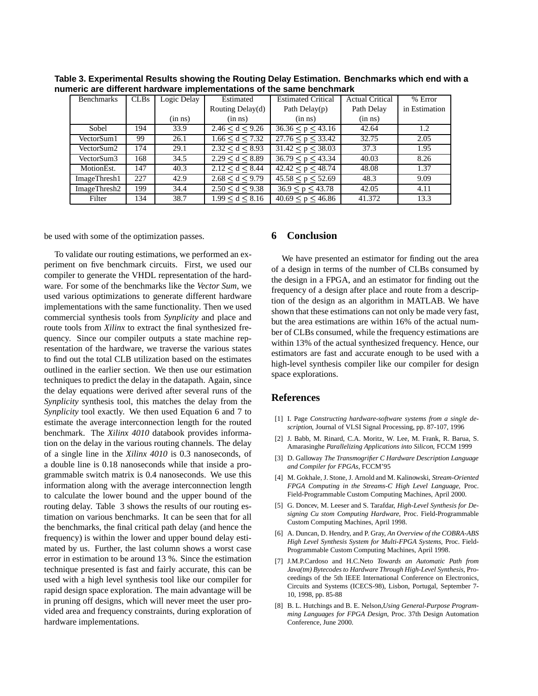| <b>Benchmarks</b> | CLBs | Logic Delay  | Estimated        | <b>Estimated Critical</b> | <b>Actual Critical</b> | % Error       |
|-------------------|------|--------------|------------------|---------------------------|------------------------|---------------|
|                   |      |              | Routing Delay(d) | Path Delay $(p)$          | Path Delay             | in Estimation |
|                   |      | $(in \; ns)$ | $(in \; ns)$     | $(in \; ns)$              | $(in \; ns)$           |               |
| Sobel             | 194  | 33.9         | 2.46 < d < 9.26  | 36.36 < p < 43.16         | 42.64                  | 1.2           |
| VectorSum1        | 99   | 26.1         | 1.66 < d < 7.32  | 27.76 < p < 33.42         | 32.75                  | 2.05          |
| VectorSum2        | 174  | 29.1         | 2.32 < d < 8.93  | 31.42 < p < 38.03         | 37.3                   | 1.95          |
| VectorSum3        | 168  | 34.5         | 2.29 < d < 8.89  | $36.79 \le p \le 43.34$   | 40.03                  | 8.26          |
| MotionEst.        | 147  | 40.3         | 2.12 < d < 8.44  | 42.42 < p < 48.74         | 48.08                  | 1.37          |
| ImageThresh1      | 227  | 42.9         | 2.68 < d < 9.79  | 45.58 < p < 52.69         | 48.3                   | 9.09          |
| ImageThresh2      | 199  | 34.4         | 2.50 < d < 9.38  | 36.9 < p < 43.78          | 42.05                  | 4.11          |
| Filter            | 134  | 38.7         | 1.99 < d < 8.16  | 40.69 < p < 46.86         | 41.372                 | 13.3          |

**Table 3. Experimental Results showing the Routing Delay Estimation. Benchmarks which end with a numeric are different hardware implementations of the same benchmark**

be used with some of the optimization passes.

To validate our routing estimations, we performed an experiment on five benchmark circuits. First, we used our compiler to generate the VHDL representation of the hardware. For some of the benchmarks like the *Vector Sum*, we used various optimizations to generate different hardware implementations with the same functionality. Then we used commercial synthesis tools from *Synplicity* and place and route tools from *Xilinx* to extract the final synthesized frequency. Since our compiler outputs a state machine representation of the hardware, we traverse the various states to find out the total CLB utilization based on the estimates outlined in the earlier section. We then use our estimation techniques to predict the delay in the datapath. Again, since the delay equations were derived after several runs of the *Synplicity* synthesis tool, this matches the delay from the *Synplicity* tool exactly. We then used Equation 6 and 7 to estimate the average interconnection length for the routed benchmark. The *Xilinx 4010* databook provides information on the delay in the various routing channels. The delay of a single line in the *Xilinx 4010* is 0.3 nanoseconds, of a double line is 0.18 nanoseconds while that inside a programmable switch matrix is 0.4 nanoseconds. We use this information along with the average interconnection length to calculate the lower bound and the upper bound of the routing delay. Table 3 shows the results of our routing estimation on various benchmarks. It can be seen that for all the benchmarks, the final critical path delay (and hence the frequency) is within the lower and upper bound delay estimated by us. Further, the last column shows a worst case error in estimation to be around 13 %. Since the estimation technique presented is fast and fairly accurate, this can be used with a high level synthesis tool like our compiler for rapid design space exploration. The main advantage will be in pruning off designs, which will never meet the user provided area and frequency constraints, during exploration of hardware implementations.

### **6 Conclusion**

We have presented an estimator for finding out the area of a design in terms of the number of CLBs consumed by the design in a FPGA, and an estimator for finding out the frequency of a design after place and route from a description of the design as an algorithm in MATLAB. We have shown that these estimations can not only be made very fast, but the area estimations are within 16% of the actual number of CLBs consumed, while the frequency estimations are within 13% of the actual synthesized frequency. Hence, our estimators are fast and accurate enough to be used with a high-level synthesis compiler like our compiler for design space explorations.

## **References**

- [1] I. Page *Constructing hardware-software systems from a single description*, Journal of VLSI Signal Processing, pp. 87-107, 1996
- [2] J. Babb, M. Rinard, C.A. Moritz, W. Lee, M. Frank, R. Barua, S. Amarasinghe *Parallelizing Applications into Silicon*, FCCM 1999
- [3] D. Galloway *The Transmogrifier C Hardware Description Language and Compiler for FPGAs*, FCCM'95
- [4] M. Gokhale, J. Stone, J. Arnold and M. Kalinowski, *Stream-Oriented FPGA Computing in the Streams-C High Level Language*, Proc. Field-Programmable Custom Computing Machines, April 2000.
- [5] G. Doncev, M. Leeser and S. Tarafdar, *High-Level Synthesis for Designing Cu stom Computing Hardware*, Proc. Field-Programmable Custom Computing Machines, April 1998.
- [6] A. Duncan, D. Hendry, and P. Gray, *An Overview of the COBRA-ABS High Level Synthesis System for Multi-FPGA Systems*, Proc. Field-Programmable Custom Computing Machines, April 1998.
- [7] J.M.P.Cardoso and H.C.Neto *Towards an Automatic Path from Java(tm) Bytecodesto Hardware Through High-Level Synthesis*, Proceedings of the 5th IEEE International Conference on Electronics, Circuits and Systems (ICECS-98), Lisbon, Portugal, September 7- 10, 1998, pp. 85-88
- [8] B. L. Hutchings and B. E. Nelson,*Using General-Purpose Programming Languages for FPGA Design*, Proc. 37th Design Automation Conference, June 2000.